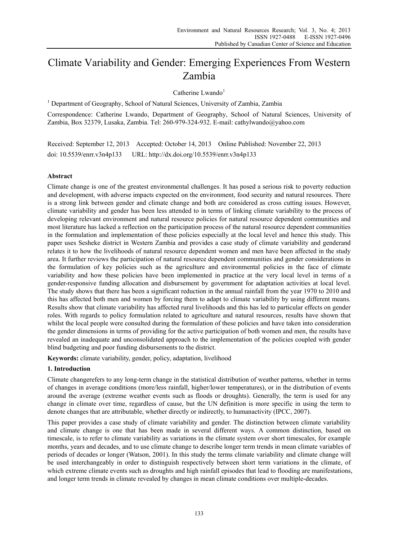# Climate Variability and Gender: Emerging Experiences From Western Zambia

Catherine Lwando<sup>1</sup>

<sup>1</sup> Department of Geography, School of Natural Sciences, University of Zambia, Zambia

Correspondence: Catherine Lwando, Department of Geography, School of Natural Sciences, University of Zambia, Box 32379, Lusaka, Zambia. Tel: 260-979-324-932. E-mail: cathylwando@yahoo.com

Received: September 12, 2013 Accepted: October 14, 2013 Online Published: November 22, 2013 doi: 10.5539/enrr.v3n4p133 URL: http://dx.doi.org/10.5539/enrr.v3n4p133

## **Abstract**

Climate change is one of the greatest environmental challenges. It has posed a serious risk to poverty reduction and development, with adverse impacts expected on the environment, food security and natural resources. There is a strong link between gender and climate change and both are considered as cross cutting issues. However, climate variability and gender has been less attended to in terms of linking climate variability to the process of developing relevant environment and natural resource policies for natural resource dependent communities and most literature has lacked a reflection on the participation process of the natural resource dependent communities in the formulation and implementation of these policies especially at the local level and hence this study. This paper uses Sesheke district in Western Zambia and provides a case study of climate variability and genderand relates it to how the livelihoods of natural resource dependent women and men have been affected in the study area. It further reviews the participation of natural resource dependent communities and gender considerations in the formulation of key policies such as the agriculture and environmental policies in the face of climate variability and how these policies have been implemented in practice at the very local level in terms of a gender-responsive funding allocation and disbursement by government for adaptation activities at local level. The study shows that there has been a significant reduction in the annual rainfall from the year 1970 to 2010 and this has affected both men and women by forcing them to adapt to climate variability by using different means. Results show that climate variability has affected rural livelihoods and this has led to particular effects on gender roles. With regards to policy formulation related to agriculture and natural resources, results have shown that whilst the local people were consulted during the formulation of these policies and have taken into consideration the gender dimensions in terms of providing for the active participation of both women and men, the results have revealed an inadequate and unconsolidated approach to the implementation of the policies coupled with gender blind budgeting and poor funding disbursements to the district.

**Keywords:** climate variability, gender, policy, adaptation, livelihood

## **1. Introduction**

Climate changerefers to any long-term change in the statistical distribution of weather patterns, whether in terms of changes in average conditions (more/less rainfall, higher/lower temperatures), or in the distribution of events around the average (extreme weather events such as floods or droughts). Generally, the term is used for any change in climate over time, regardless of cause, but the UN definition is more specific in using the term to denote changes that are attributable, whether directly or indirectly, to humanactivity (IPCC, 2007).

This paper provides a case study of climate variability and gender. The distinction between climate variability and climate change is one that has been made in several different ways. A common distinction, based on timescale, is to refer to climate variability as variations in the climate system over short timescales, for example months, years and decades, and to use climate change to describe longer term trends in mean climate variables of periods of decades or longer (Watson, 2001). In this study the terms climate variability and climate change will be used interchangeably in order to distinguish respectively between short term variations in the climate, of which extreme climate events such as droughts and high rainfall episodes that lead to flooding are manifestations, and longer term trends in climate revealed by changes in mean climate conditions over multiple-decades.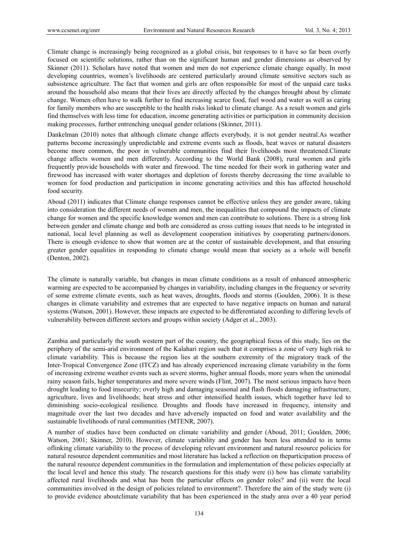Climate change is increasingly being recognized as a global crisis, but responses to it have so far been overly focused on scientific solutions, rather than on the significant human and gender dimensions as observed by Skinner (2011). Scholars have noted that women and men do not experience climate change equally. In most developing countries, women's livelihoods are centered particularly around climate sensitive sectors such as subsistence agriculture. The fact that women and girls are often responsible for most of the unpaid care tasks around the household also means that their lives are directly affected by the changes brought about by climate change. Women often have to walk further to find increasing scarce food, fuel wood and water as well as caring for family members who are susceptible to the health risks linked to climate change. As a result women and girls find themselves with less time for education, income generating activities or participation in community decision making processes, further entrenching unequal gender relations (Skinner, 2011).

Dankelman (2010) notes that although climate change affects everybody, it is not gender neutral.As weather patterns become increasingly unpredictable and extreme events such as floods, heat waves or natural disasters become more common, the poor in vulnerable communities find their livelihoods most threatened.Climate change affects women and men differently. According to the World Bank (2008), rural women and girls frequently provide households with water and firewood. The time needed for their work in gathering water and firewood has increased with water shortages and depletion of forests thereby decreasing the time available to women for food production and participation in income generating activities and this has affected household food security.

Aboud (2011) indicates that Climate change responses cannot be effective unless they are gender aware, taking into consideration the different needs of women and men, the inequalities that compound the impacts of climate change for women and the specific knowledge women and men can contribute to solutions. There is a strong link between gender and climate change and both are considered as cross cutting issues that needs to be integrated in national, local level planning as well as development cooperation initiatives by cooperating partners/donors. There is enough evidence to show that women are at the center of sustainable development, and that ensuring greater gender equalities in responding to climate change would mean that society as a whole will benefit (Denton, 2002).

The climate is naturally variable, but changes in mean climate conditions as a result of enhanced atmospheric warming are expected to be accompanied by changes in variability, including changes in the frequency or severity of some extreme climate events, such as heat waves, droughts, floods and storms (Goulden, 2006). It is these changes in climate variability and extremes that are expected to have negative impacts on human and natural systems (Watson, 2001). However, these impacts are expected to be differentiated according to differing levels of vulnerability between different sectors and groups within society (Adger et al., 2003).

Zambia and particularly the south western part of the country, the geographical focus of this study, lies on the periphery of the semi-arid environment of the Kalahari region such that it comprises a zone of very high risk to climate variability. This is because the region lies at the southern extremity of the migratory track of the Inter-Tropical Convergence Zone (ITCZ) and has already experienced increasing climate variability in the form of increasing extreme weather events such as severe storms, higher annual floods, more years when the unimodal rainy season fails, higher temperatures and more severe winds (Flint, 2007). The most serious impacts have been drought leading to food insecurity; overly high and damaging seasonal and flash floods damaging infrastructure, agriculture, lives and livelihoods; heat stress and other intensified health issues, which together have led to diminishing socio-ecological resilience. Droughts and floods have increased in frequency, intensity and magnitude over the last two decades and have adversely impacted on food and water availability and the sustainable livelihoods of rural communities (MTENR, 2007).

A number of studies have been conducted on climate variability and gender (Aboud, 2011; Goulden, 2006; Watson, 2001; Skinner, 2010). However, climate variability and gender has been less attended to in terms oflinking climate variability to the process of developing relevant environment and natural resource policies for natural resource dependent communities and most literature has lacked a reflection on theparticipation process of the natural resource dependent communities in the formulation and implementation of these policies especially at the local level and hence this study. The research questions for this study were (i) how has climate variability affected rural livelihoods and what has been the particular effects on gender roles? and (ii) were the local communities involved in the design of policies related to environment?. Therefore the aim of the study were (i) to provide evidence aboutclimate variability that has been experienced in the study area over a 40 year period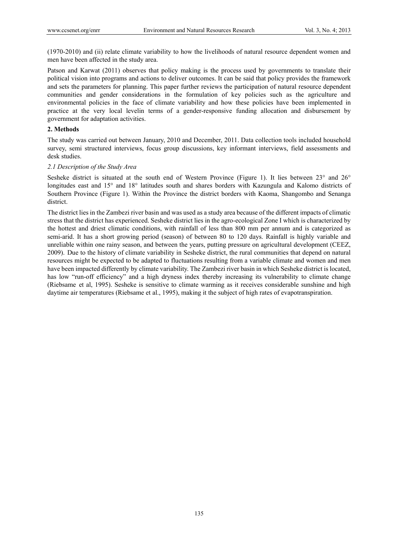(1970-2010) and (ii) relate climate variability to how the livelihoods of natural resource dependent women and men have been affected in the study area.

Patson and Karwat (2011) observes that policy making is the process used by governments to translate their political vision into programs and actions to deliver outcomes. It can be said that policy provides the framework and sets the parameters for planning. This paper further reviews the participation of natural resource dependent communities and gender considerations in the formulation of key policies such as the agriculture and environmental policies in the face of climate variability and how these policies have been implemented in practice at the very local levelin terms of a gender-responsive funding allocation and disbursement by government for adaptation activities.

## **2. Methods**

The study was carried out between January, 2010 and December, 2011. Data collection tools included household survey, semi structured interviews, focus group discussions, key informant interviews, field assessments and desk studies.

## *2.1 Description of the Study Area*

Sesheke district is situated at the south end of Western Province (Figure 1). It lies between 23° and 26° longitudes east and 15° and 18° latitudes south and shares borders with Kazungula and Kalomo districts of Southern Province (Figure 1). Within the Province the district borders with Kaoma, Shangombo and Senanga district.

The district lies in the Zambezi river basin and was used as a study area because of the different impacts of climatic stress that the district has experienced. Sesheke district lies in the agro-ecological Zone I which is characterized by the hottest and driest climatic conditions, with rainfall of less than 800 mm per annum and is categorized as semi-arid. It has a short growing period (season) of between 80 to 120 days. Rainfall is highly variable and unreliable within one rainy season, and between the years, putting pressure on agricultural development (CEEZ, 2009). Due to the history of climate variability in Sesheke district, the rural communities that depend on natural resources might be expected to be adapted to fluctuations resulting from a variable climate and women and men have been impacted differently by climate variability. The Zambezi river basin in which Sesheke district is located, has low "run-off efficiency" and a high dryness index thereby increasing its vulnerability to climate change (Riebsame et al, 1995). Sesheke is sensitive to climate warming as it receives considerable sunshine and high daytime air temperatures (Riebsame et al., 1995), making it the subject of high rates of evapotranspiration.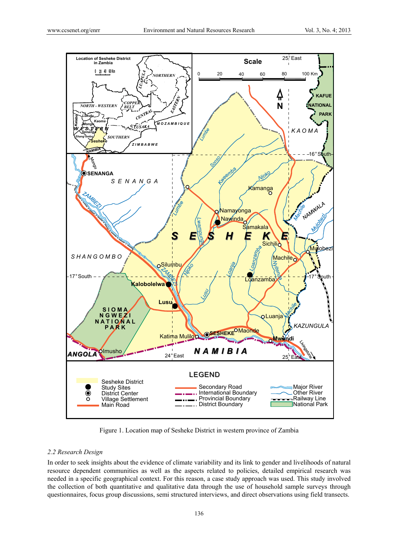

Figure 1. Location map of Sesheke District in western province of Zambia

## *2.2 Research Design*

In order to seek insights about the evidence of climate variability and its link to gender and livelihoods of natural resource dependent communities as well as the aspects related to policies, detailed empirical research was needed in a specific geographical context. For this reason, a case study approach was used. This study involved the collection of both quantitative and qualitative data through the use of household sample surveys through questionnaires, focus group discussions, semi structured interviews, and direct observations using field transects.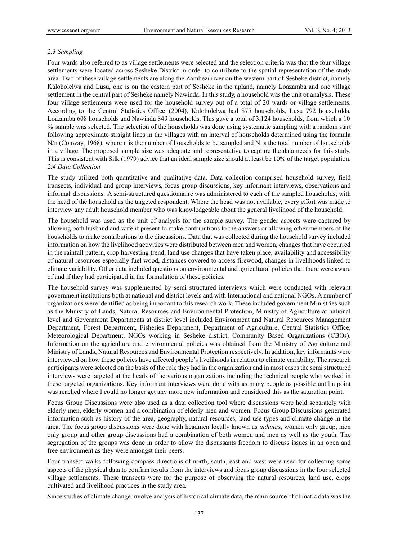### *2.3 Sampling*

Four wards also referred to as village settlements were selected and the selection criteria was that the four village settlements were located across Sesheke District in order to contribute to the spatial representation of the study area. Two of these village settlements are along the Zambezi river on the western part of Sesheke district, namely Kalobolelwa and Lusu, one is on the eastern part of Sesheke in the upland, namely Loazamba and one village settlement in the central part of Sesheke namely Nawinda. In this study, a household was the unit of analysis. These four village settlements were used for the household survey out of a total of 20 wards or village settlements. According to the Central Statistics Office (2004), Kalobolelwa had 875 households, Lusu 792 households, Loazamba 608 households and Nawinda 849 households. This gave a total of 3,124 households, from which a 10 % sample was selected. The selection of the households was done using systematic sampling with a random start following approximate straight lines in the villages with an interval of households determined using the formula N/n (Conway, 1968), where n is the number of households to be sampled and N is the total number of households in a village. The proposed sample size was adequate and representative to capture the data needs for this study. This is consistent with Silk (1979) advice that an ideal sample size should at least be 10% of the target population. *2.4 Data Collection* 

The study utilized both quantitative and qualitative data. Data collection comprised household survey, field transects, individual and group interviews, focus group discussions, key informant interviews, observations and informal discussions. A semi-structured questionnaire was administered to each of the sampled households, with the head of the household as the targeted respondent. Where the head was not available, every effort was made to interview any adult household member who was knowledgeable about the general livelihood of the household.

The household was used as the unit of analysis for the sample survey. The gender aspects were captured by allowing both husband and wife if present to make contributions to the answers or allowing other members of the households to make contributions to the discussions. Data that was collected during the household survey included information on how the livelihood activities were distributed between men and women, changes that have occurred in the rainfall pattern, crop harvesting trend, land use changes that have taken place, availability and accessibility of natural resources especially fuel wood, distances covered to access firewood, changes in livelihoods linked to climate variability. Other data included questions on environmental and agricultural policies that there were aware of and if they had participated in the formulation of these policies.

The household survey was supplemented by semi structured interviews which were conducted with relevant government institutions both at national and district levels and with International and national NGOs. A number of organizations were identified as being important to this research work. These included government Ministries such as the Ministry of Lands, Natural Resources and Environmental Protection, Ministry of Agriculture at national level and Government Departments at district level included Environment and Natural Resources Management Department, Forest Department, Fisheries Department, Department of Agriculture, Central Statistics Office, Meteorological Department, NGOs working in Sesheke district, Community Based Organizations (CBOs). Information on the agriculture and environmental policies was obtained from the Ministry of Agriculture and Ministry of Lands, Natural Resources and Environmental Protection respectively. In addition, key informants were interviewed on how these policies have affected people's livelihoods in relation to climate variability. The research participants were selected on the basis of the role they had in the organization and in most cases the semi structured interviews were targeted at the heads of the various organizations including the technical people who worked in these targeted organizations. Key informant interviews were done with as many people as possible until a point was reached where I could no longer get any more new information and considered this as the saturation point.

Focus Group Discussions were also used as a data collection tool where discussions were held separately with elderly men, elderly women and a combination of elderly men and women. Focus Group Discussions generated information such as history of the area, geography, natural resources, land use types and climate change in the area. The focus group discussions were done with headmen locally known as *indunas*, women only group, men only group and other group discussions had a combination of both women and men as well as the youth. The segregation of the groups was done in order to allow the discussants freedom to discuss issues in an open and free environment as they were amongst their peers.

Four transect walks following compass directions of north, south, east and west were used for collecting some aspects of the physical data to confirm results from the interviews and focus group discussions in the four selected village settlements. These transects were for the purpose of observing the natural resources, land use, crops cultivated and livelihood practices in the study area.

Since studies of climate change involve analysis of historical climate data, the main source of climatic data was the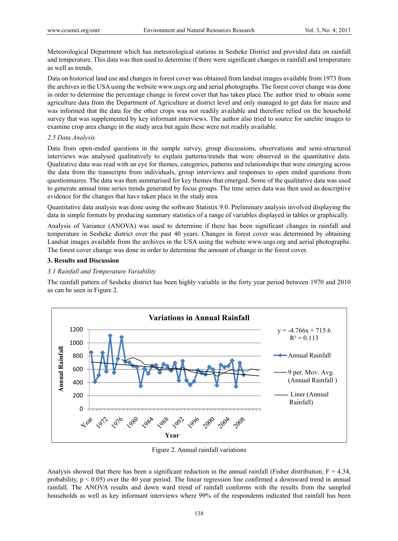Meteorological Department which has meteorological stations in Sesheke District and provided data on rainfall and temperature. This data was then used to determine if there were significant changes in rainfall and temperature as well as trends.

Data on historical land use and changes in forest cover was obtained from landsat images available from 1973 from the archives in the USA using the website www.usgs.org and aerial photographs. The forest cover change was done in order to determine the percentage change in forest cover that has taken place.The author tried to obtain some agriculture data from the Department of Agriculture at district level and only managed to get data for maize and was informed that the data for the other crops was not readily available and therefore relied on the household survey that was supplemented by key informant interviews. The author also tried to source for satelite images to examine crop area change in the study area but again these were not readily available.

### *2.5 Data Analysis*

Data from open-ended questions in the sample survey, group discussions, observations and semi-structured interviews was analysed qualitatively to explain patterns/trends that were observed in the quantitative data. Qualitative data was read with an eye for themes, categories, patterns and relationships that were emerging across the data from the transcripts from individuals, group interviews and responses to open ended questions from questionnaires. The data was then summarised for key themes that emerged. Some of the qualitative data was used to generate annual time series trends generated by focus groups. The time series data was then used as descriptive evidence for the changes that have taken place in the study area.

Quantitative data analysis was done using the software Statistix 9.0. Preliminary analysis involved displaying the data in simple formats by producing summary statistics of a range of variables displayed in tables or graphically.

Analysis of Variance (ANOVA) was used to determine if there has been significant changes in rainfall and temperature in Sesheke district over the past 40 years. Changes in forest cover was determined by obtaining Landsat images available from the archives in the USA using the website www.usgs.org and aerial photographs. The forest cover change was done in order to determine the amount of change in the forest cover.

#### **3. Results and Discussion**

#### *3.1 Rainfall and Temperature Variability*

The rainfall pattern of Sesheke district has been highly variable in the forty year period between 1970 and 2010 as can be seen in Figure 2.



Figure 2. Annual rainfall variations

Analysis showed that there has been a significant reduction in the annual rainfall (Fisher distribution,  $F = 4.34$ , probability,  $p < 0.05$ ) over the 40 year period. The linear regression line confirmed a downward trend in annual rainfall. The ANOVA results and down ward trend of rainfall conforms with the results from the sampled households as well as key informant interviews where 99% of the respondents indicated that rainfall has been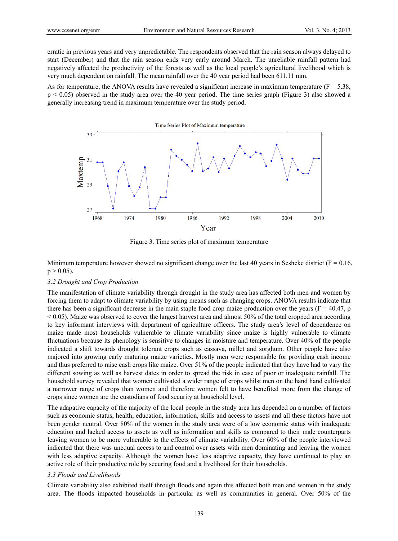erratic in previous years and very unpredictable. The respondents observed that the rain season always delayed to start (December) and that the rain season ends very early around March. The unreliable rainfall pattern had negatively affected the productivity of the forests as well as the local people's agricultural livelihood which is very much dependent on rainfall. The mean rainfall over the 40 year period had been 611.11 mm.

As for temperature, the ANOVA results have revealed a significant increase in maximum temperature ( $F = 5.38$ , p < 0.05) observed in the study area over the 40 year period. The time series graph (Figure 3) also showed a generally increasing trend in maximum temperature over the study period.



Figure 3. Time series plot of maximum temperature

Minimum temperature however showed no significant change over the last 40 years in Sesheke district ( $F = 0.16$ ,  $p > 0.05$ ).

### *3.2 Drought and Crop Production*

The manifestation of climate variability through drought in the study area has affected both men and women by forcing them to adapt to climate variability by using means such as changing crops. ANOVA results indicate that there has been a significant decrease in the main staple food crop maize production over the years ( $F = 40.47$ , p  $\leq$  0.05). Maize was observed to cover the largest harvest area and almost 50% of the total cropped area according to key informant interviews with department of agriculture officers. The study area's level of dependence on maize made most households vulnerable to climate variability since maize is highly vulnerable to climate fluctuations because its phenology is sensitive to changes in moisture and temperature. Over 40% of the people indicated a shift towards drought tolerant crops such as cassava, millet and sorghum. Other people have also majored into growing early maturing maize varieties. Mostly men were responsible for providing cash income and thus preferred to raise cash crops like maize. Over 51% of the people indicated that they have had to vary the different sowing as well as harvest dates in order to spread the risk in case of poor or inadequate rainfall. The household survey revealed that women cultivated a wider range of crops whilst men on the hand hand cultivated a narrower range of crops than women and therefore women felt to have benefited more from the change of crops since women are the custodians of food security at household level.

The adapative capacity of the majority of the local people in the study area has depended on a number of factors such as economic status, health, education, information, skills and access to assets and all these factors have not been gender neutral. Over 80% of the women in the study area were of a low economic status with inadequate education and lacked access to assets as well as information and skills as compared to their male counterparts leaving women to be more vulnerable to the effects of climate variability. Over 60% of the people interviewed indicated that there was unequal access to and control over assets with men dominating and leaving the women with less adaptive capacity. Although the women have less adaptive capacity, they have continued to play an active role of their productive role by securing food and a livelihood for their households.

## *3.3 Floods and Livelihoods*

Climate variability also exhibited itself through floods and again this affected both men and women in the study area. The floods impacted households in particular as well as communities in general. Over 50% of the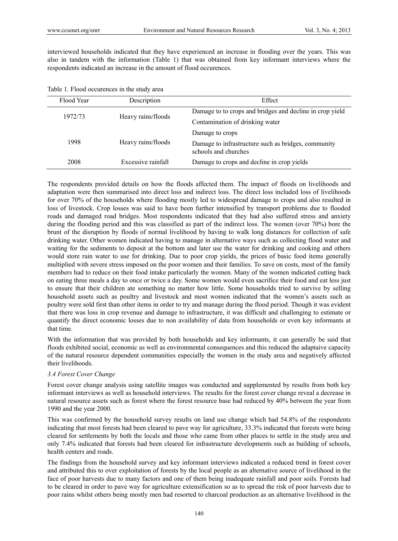interviewed households indicated that they have experienced an increase in flooding over the years. This was also in tandem with the information (Table 1) that was obtained from key informant interviews where the respondents indicated an increase in the amount of flood occurences.

|  |  | Table 1. Flood occurences in the study area |  |  |  |  |
|--|--|---------------------------------------------|--|--|--|--|
|--|--|---------------------------------------------|--|--|--|--|

| Flood Year | Description        | Effect                                                                      |  |  |
|------------|--------------------|-----------------------------------------------------------------------------|--|--|
| 1972/73    | Heavy rains/floods | Damage to to crops and bridges and decline in crop yield                    |  |  |
|            |                    | Contamination of drinking water                                             |  |  |
| 1998       |                    | Damage to crops                                                             |  |  |
|            | Heavy rains/floods | Damage to infrastructure such as bridges, community<br>schools and churches |  |  |
| 2008       | Excessive rainfall | Damage to crops and decline in crop yields                                  |  |  |

The respondents provided details on how the floods affected them. The impact of floods on livelihoods and adaptation were then summarised into direct loss and indirect loss. The direct loss included loss of livelihoods for over 70% of the households where flooding mostly led to widespread damage to crops and also resulted in loss of livestock. Crop losses was said to have been further intensified by transport problems due to flooded roads and damaged road bridges. Most respondents indicated that they had also suffered stress and anxiety during the flooding period and this was classified as part of the indirect loss. The women (over 70%) bore the brunt of the disruption by floods of normal livelihood by having to walk long distances for collection of safe drinking water. Other women indicated having to manage in alternative ways such as collecting flood water and waiting for the sediments to deposit at the bottom and later use the water for drinking and cooking and others would store rain water to use for drinking. Due to poor crop yields, the prices of basic food items generally multiplied with severe stress imposed on the poor women and their families. To save on costs, most of the family members had to reduce on their food intake particularly the women. Many of the women indicated cutting back on eating three meals a day to once or twice a day. Some women would even sacrifice their food and eat less just to ensure that their children ate something no matter how little. Some households tried to survive by selling household assets such as poultry and livestock and most women indicated that the women's assets such as poultry were sold first than other items in order to try and manage during the flood period. Though it was evident that there was loss in crop revenue and damage to infrastructure, it was difficult and challenging to estimate or quantify the direct economic losses due to non availability of data from households or even key informants at that time.

With the information that was provided by both households and key informants, it can generally be said that floods exhibited social, economic as well as environmental consequences and this reduced the adaptaive capacity of the natural resource dependent communities especially the women in the study area and negatively affected their livelihoods.

## *3.4 Forest Cover Change*

Forest cover change analysis using satellite images was conducted and supplemented by results from both key informant interviews as well as household interviews. The results for the forest cover change reveal a decrease in natural resource assets such as forest where the forest resource base had reduced by 40% between the year from 1990 and the year 2000.

This was confirmed by the household survey results on land use change which had 54.8% of the respondents indicating that most forests had been cleared to pave way for agriculture, 33.3% indicated that forests were being cleared for settlements by both the locals and those who came from other places to settle in the study area and only 7.4% indicated that forests had been cleared for infrastructure developments such as building of schools, health centers and roads.

The findings from the household survey and key informant interviews indicated a reduced trend in forest cover and attributed this to over exploitation of forests by the local people as an alternative source of livelihood in the face of poor harvests due to many factors and one of them being inadequate rainfall and poor soils. Forests had to be cleared in order to pave way for agriculture extensification so as to spread the risk of poor harvests due to poor rains whilst others being mostly men had resorted to charcoal production as an alternative livelihood in the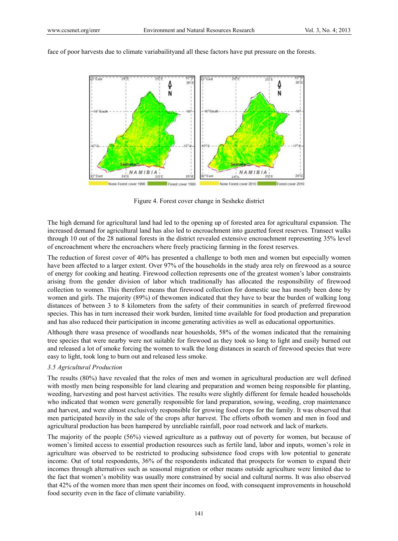

face of poor harvests due to climate variabailityand all these factors have put pressure on the forests.

Figure 4. Forest cover change in Sesheke district

The high demand for agricultural land had led to the opening up of forested area for agricultural expansion. The increased demand for agricultural land has also led to encroachment into gazetted forest reserves. Transect walks through 10 out of the 28 national forests in the district revealed extensive encroachment representing 35% level of encroachment where the encroachers where freely practicing farming in the forest reserves.

The reduction of forest cover of 40% has presented a challenge to both men and women but especially women have been affected to a larger extent. Over 97% of the households in the study area rely on firewood as a source of energy for cooking and heating. Firewood collection represents one of the greatest women's labor constraints arising from the gender division of labor which traditionally has allocated the responsibility of firewood collection to women. This therefore means that firewood collection for domestic use has mostly been done by women and girls. The majority (89%) of thewomen indicated that they have to bear the burden of walking long distances of between 3 to 8 kilometers from the safety of their communities in search of preferred firewood species. This has in turn increased their work burden, limited time available for food production and preparation and has also reduced their participation in income generating activities as well as educational opportunities.

Although there wasa presence of woodlands near houesholds, 58% of the women indicated that the remaining tree species that were nearby were not suitable for firewood as they took so long to light and easily burned out and released a lot of smoke forcing the women to walk the long distances in search of firewood species that were easy to light, took long to burn out and released less smoke.

## *3.5 Agricultural Production*

The results (80%) have revealed that the roles of men and women in agricultural production are well defined with mostly men being responsible for land clearing and preparation and women being responsible for planting, weeding, harvesting and post harvest activities. The results were slightly different for female headed households who indicated that women were generally responsible for land preparation, sowing, weeding, crop maintenance and harvest, and were almost exclusively responsible for growing food crops for the family. It was observed that men participated heavily in the sale of the crops after harvest. The efforts ofboth women and men in food and agricultural production has been hampered by unreliable rainfall, poor road network and lack of markets.

The majority of the people (56%) viewed agriculture as a pathway out of poverty for women, but because of women's limited access to essential production resources such as fertile land, labor and inputs, women's role in agriculture was observed to be restricted to producing subsistence food crops with low potential to generate income. Out of total respondents, 36% of the respondents indicated that prospects for women to expand their incomes through alternatives such as seasonal migration or other means outside agriculture were limited due to the fact that women's mobility was usually more constrained by social and cultural norms. It was also observed that 42% of the women more than men spent their incomes on food, with consequent improvements in household food security even in the face of climate variability.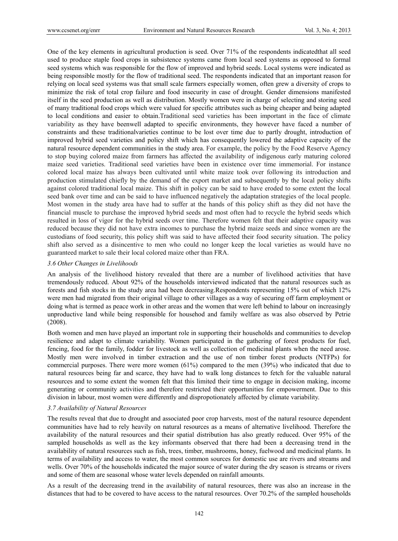One of the key elements in agricultural production is seed. Over 71% of the respondents indicatedthat all seed used to produce staple food crops in subsistence systems came from local seed systems as opposed to formal seed systems which was responsible for the flow of improved and hybrid seeds. Local systems were indicated as being responsible mostly for the flow of traditional seed. The respondents indicated that an important reason for relying on local seed systems was that small scale farmers especially women, often grew a diversity of crops to minimize the risk of total crop failure and food insecurity in case of drought. Gender dimensions manifested itself in the seed production as well as distribution. Mostly women were in charge of selecting and storing seed of many traditional food crops which were valued for specific attributes such as being cheaper and being adapted to local conditions and easier to obtain.Traditional seed varieties has been important in the face of climate variability as they have beenwell adapted to specific environments, they however have faced a number of constraints and these traditionalvarieties continue to be lost over time due to partly drought, introduction of improved hybrid seed varieties and policy shift which has consequently lowered the adaptive capacity of the natural resource dependent communities in the study area. For example, the policy by the Food Reserve Agency to stop buying colored maize from farmers has affected the availability of indigenous early maturing colored maize seed varieties. Traditional seed varieties have been in existence over time immemorial. For instance colored local maize has always been cultivated until white maize took over following its introduction and production stimulated chiefly by the demand of the export market and subsequently by the local policy shifts against colored traditional local maize. This shift in policy can be said to have eroded to some extent the local seed bank over time and can be said to have influenced negatively the adaptation strategies of the local people. Most women in the study area have had to suffer at the hands of this policy shift as they did not have the financial muscle to purchase the improved hybrid seeds and most often had to recycle the hybrid seeds which resulted in loss of vigor for the hybrid seeds over time. Therefore women felt that their adaptive capacity was reduced because they did not have extra incomes to purchase the hybrid maize seeds and since women are the custodians of food security, this policy shift was said to have affected their food security situation. The policy shift also served as a disincentive to men who could no longer keep the local varieties as would have no guaranteed market to sale their local colored maize other than FRA.

#### *3.6 Other Changes in Livelihoods*

An analysis of the livelihood history revealed that there are a number of livelihood activities that have tremendously reduced. About 92% of the households interviewed indicated that the natural resources such as forests and fish stocks in the study area had been decreasing.Respondents representing 15% out of which 12% were men had migrated from their original village to other villages as a way of securing off farm employment or doing what is termed as peace work in other areas and the women that were left behind to labour on increasingly unproductive land while being responsible for househod and family welfare as was also observed by Petrie (2008).

Both women and men have played an important role in supporting their households and communities to develop resilience and adapt to climate variability. Women participated in the gathering of forest products for fuel, fencing, food for the family, fodder for livestock as well as collection of medicinal plants when the need arose. Mostly men were involved in timber extraction and the use of non timber forest products (NTFPs) for commercial purposes. There were more women (61%) compared to the men (39%) who indicated that due to natural resources being far and scarce, they have had to walk long distances to fetch for the valuable natural resources and to some extent the women felt that this limited their time to engage in decision making, income generating or community activities and therefore restricted their opportunities for empowerment. Due to this division in labour, most women were differently and dispropotionately affected by climate variability.

### *3.7 Availability of Natural Resources*

The results reveal that due to drought and associated poor crop harvests, most of the natural resource dependent communities have had to rely heavily on natural resources as a means of alternative livelihood. Therefore the availability of the natural resources and their spatial distribution has also greatly reduced. Over 95% of the sampled households as well as the key informants observed that there had been a decreasing trend in the availability of natural resources such as fish, trees, timber, mushrooms, honey, fuelwood and medicinal plants. In terms of availability and access to water, the most common sources for domestic use are rivers and streams and wells. Over 70% of the households indicated the major source of water during the dry season is streams or rivers and some of them are seasonal whose water levels depended on rainfall amounts.

As a result of the decreasing trend in the availability of natural resources, there was also an increase in the distances that had to be covered to have access to the natural resources. Over 70.2% of the sampled households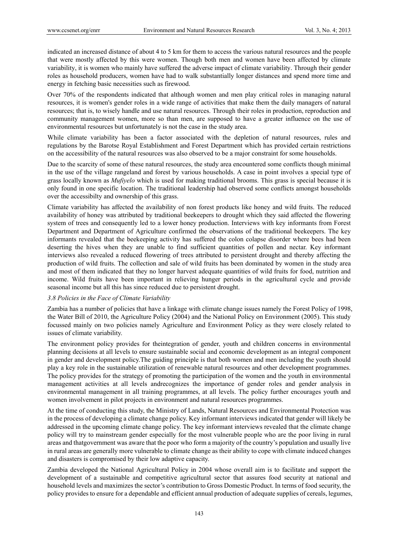indicated an increased distance of about 4 to 5 km for them to access the various natural resources and the people that were mostly affected by this were women. Though both men and women have been affected by climate variability, it is women who mainly have suffered the adverse impact of climate variability. Through their gender roles as household producers, women have had to walk substantially longer distances and spend more time and energy in fetching basic necessities such as firewood.

Over 70% of the respondents indicated that although women and men play critical roles in managing natural resources, it is women's gender roles in a wide range of activities that make them the daily managers of natural resources; that is, to wisely handle and use natural resources. Through their roles in production, reproduction and community management women, more so than men, are supposed to have a greater influence on the use of environmental resources but unfortunately is not the case in the study area.

While climate variability has been a factor associated with the depletion of natural resources, rules and regulations by the Barotse Royal Establishment and Forest Department which has provided certain restrictions on the accessibility of the natural resources was also observed to be a major constraint for some households.

Due to the scarcity of some of these natural resources, the study area encountered some conflicts though minimal in the use of the village rangeland and forest by various households. A case in point involves a special type of grass locally known as *Mufiyelo* which is used for making traditional brooms. This grass is special because it is only found in one specific location. The traditional leadership had observed some conflicts amongst households over the accessibilty and ownership of this grass.

Climate variability has affected the availability of non forest products like honey and wild fruits. The reduced availability of honey was attributed by traditional beekeepers to drought which they said affected the flowering system of trees and consequently led to a lower honey production. Interviews with key informants from Forest Department and Department of Agriculture confirmed the observations of the traditional beekeepers. The key informants revealed that the beekeeping activity has suffered the colon colapse disorder where bees had been deserting the hives when they are unable to find sufficient quantities of pollen and nectar. Key informant interviews also revealed a reduced flowering of trees attributed to persistent drought and thereby affecting the production of wild fruits. The collection and sale of wild fruits has been dominated by women in the study area and most of them indicated that they no longer harvest adequate quantities of wild fruits for food, nutrition and income. Wild fruits have been important in relieving hunger periods in the agricultural cycle and provide seasonal income but all this has since reduced due to persistent drought.

#### *3.8 Policies in the Face of Climate Variability*

Zambia has a number of policies that have a linkage with climate change issues namely the Forest Policy of 1998, the Water Bill of 2010, the Agriculture Policy (2004) and the National Policy on Environment (2005). This study focussed mainly on two policies namely Agriculture and Environment Policy as they were closely related to issues of climate variability.

The environment policy provides for theintegration of gender, youth and children concerns in environmental planning decisions at all levels to ensure sustainable social and economic development as an integral component in gender and development policy.The guiding principle is that both women and men including the youth should play a key role in the sustainable utilization of renewable natural resources and other development programmes. The policy provides for the strategy of promoting the participation of the women and the youth in environmental management activities at all levels andrecognizes the importance of gender roles and gender analysis in environmental management in all training programmes, at all levels. The policy further encourages youth and women involvement in pilot projects in environment and natural resources programmes.

At the time of conducting this study, the Ministry of Lands, Natural Resources and Environmental Protection was in the process of developing a climate change policy. Key informant interviews indicated that gender will likely be addressed in the upcoming climate change policy. The key informant interviews revealed that the climate change policy will try to mainstream gender especially for the most vulnerable people who are the poor living in rural areas and thatgovernment was aware that the poor who form a majority of the country's population and usually live in rural areas are generally more vulnerable to climate change as their ability to cope with climate induced changes and disasters is compromised by their low adaptive capacity.

Zambia developed the National Agricultural Policy in 2004 whose overall aim is to facilitate and support the development of a sustainable and competitive agricultural sector that assures food security at national and household levels and maximizes the sector's contribution to Gross Domestic Product. In terms of food security, the policy provides to ensure for a dependable and efficient annual production of adequate supplies of cereals, legumes,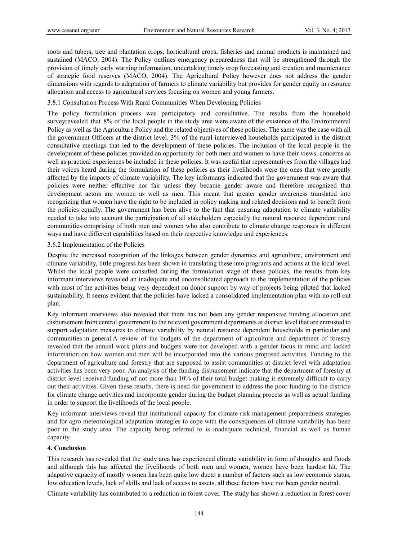roots and tubers, tree and plantation crops, horticultural crops, fisheries and animal products is maintained and sustained (MACO, 2004). The Policy outlines emergency preparedness that will be strengthened through the provision of timely early warning information, undertaking timely crop forecasting and creation and maintenance of strategic food reserves (MACO, 2004). The Agricultural Policy however does not address the gender dimensions with regards to adaptation of farmers to climate variability but provides for gender equity in resource allocation and access to agricultural services focusing on women and young farmers.

3.8.1 Consultation Process With Rural Communities When Developing Policies

The policy formulation process was participatory and consultative. The results from the household surveyrevealed that 8% of the local people in the study area were aware of the existence of the Environmental Policy as well as the Agriculture Policy and the related objectives of these policies. The same was the case with all the government Officers at the district level. 3% of the rural interviewed households participated in the district consultative meetings that led to the development of these policies. The inclusion of the local people in the development of these policies provided an opportunity for both men and women to have their views, concerns as well as practical experiences be included in these policies. It was useful that representatives from the villages had their voices heard during the formulation of these policies as their livelihoods were the ones that were greatly affected by the impacts of climate variability. The key informants indicated that the government was aware that policies were neither effective nor fair unless they became gender aware and therefore recognized that development actors are women as well as men. This meant that greater gender awareness translated into recognizing that women have the right to be included in policy making and related decisions and to benefit from the policies equally. The government has been alive to the fact that ensuring adaptation to climate variability needed to take into account the participation of all stakeholders especially the natural resource dependent rural communities comprising of both men and women who also contribute to climate change responses in different ways and have different capabilities based on their respective knowledge and experiences.

#### 3.8.2 Implementation of the Policies

Despite the increased recognition of the linkages between gender dynamics and agriculture, environment and climate variability, little progress has been shown in translating these into programs and actions at the local level. Whilst the local people were consulted during the formulation stage of these policies, the results from key informant interviews revealed an inadequate and unconsolidated approach to the implementation of the policies with most of the activities being very dependent on donor support by way of projects being piloted that lacked sustainability. It seems evident that the policies have lacked a consolidated implementation plan with no roll out plan.

Key informant interviews also revealed that there has not been any gender responsive funding allocation and disbursement from central government to the relevant government departments at district level that are entrusted to support adaptation measures to climate variability by natural resource dependent households in particular and communities in general.A review of the budgets of the department of agriculture and department of forestry revealed that the annual work plans and budgets were not developed with a gender focus in mind and lacked information on how women and men will be incorporated into the various proposed activities. Funding to the department of agriculture and forestry that are supposed to assist communities at district level with adaptation activities has been very poor. An analysis of the funding disbursement indicate that the department of forestry at district level received funding of not more than 10% of their total budget making it extremely difficult to carry out their activities. Given these results, there is need for government to address the poor funding to the districts for climate change activities and incorporate gender during the budget planning process as well as actual funding in order to support the livelihoods of the local people.

Key informant interviews reveal that institutional capacity for climate risk management preparedness strategies and for agro meteorological adaptation strategies to cope with the consequences of climate variability has been poor in the study area. The capacity being referred to is inadequate technical, financial as well as human capacity.

## **4. Conclusion**

This research has revealed that the study area has experienced climate variability in form of droughts and floods and although this has affected the livelihoods of both men and women, women have been hardest hit. The adapative capacity of mostly women has been quite low dueto a number of factors such as low economic status, low education levels, lack of skills and lack of access to assets, all these factors have not been gender neutral.

Climate variability has contributed to a reduction in forest cover. The study has shown a reduction in forest cover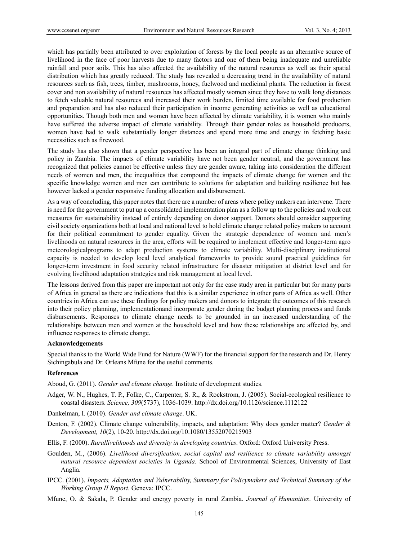which has partially been attributed to over exploitation of forests by the local people as an alternative source of livelihood in the face of poor harvests due to many factors and one of them being inadequate and unreliable rainfall and poor soils. This has also affected the availability of the natural resources as well as their spatial distribution which has greatly reduced. The study has revealed a decreasing trend in the availability of natural resources such as fish, trees, timber, mushrooms, honey, fuelwood and medicinal plants. The reduction in forest cover and non availability of natural resources has affected mostly women since they have to walk long distances to fetch valuable natural resources and increased their work burden, limited time available for food production and preparation and has also reduced their participation in income generating activities as well as educational opportunities. Though both men and women have been affected by climate variability, it is women who mainly have suffered the adverse impact of climate variability. Through their gender roles as household producers, women have had to walk substantially longer distances and spend more time and energy in fetching basic necessities such as firewood.

The study has also shown that a gender perspective has been an integral part of climate change thinking and policy in Zambia. The impacts of climate variability have not been gender neutral, and the government has recognized that policies cannot be effective unless they are gender aware, taking into consideration the different needs of women and men, the inequalities that compound the impacts of climate change for women and the specific knowledge women and men can contribute to solutions for adaptation and building resilience but has however lacked a gender responsive funding allocation and disbursement.

As a way of concluding, this paper notes that there are a number of areas where policy makers can intervene. There is need for the government to put up a consolidated implementation plan as a follow up to the policies and work out measures for sustainability instead of entirely depending on donor support. Donors should consider supporting civil society organizations both at local and national level to hold climate change related policy makers to account for their political commitment to gender equality. Given the strategic dependence of women and men's livelihoods on natural resources in the area, efforts will be required to implement effective and longer-term agro meteorologicalprograms to adapt production systems to climate variability. Multi-disciplinary institutional capacity is needed to develop local level analytical frameworks to provide sound practical guidelines for longer-term investment in food security related infrastructure for disaster mitigation at district level and for evolving livelihood adaptation strategies and risk management at local level.

The lessons derived from this paper are important not only for the case study area in particular but for many parts of Africa in general as there are indications that this is a similar experience in other parts of Africa as well. Other countries in Africa can use these findings for policy makers and donors to integrate the outcomes of this research into their policy planning, implementationand incorporate gender during the budget planning process and funds disbursements. Responses to climate change needs to be grounded in an increased understanding of the relationships between men and women at the household level and how these relationships are affected by, and influence responses to climate change.

#### **Acknowledgements**

Special thanks to the World Wide Fund for Nature (WWF) for the financial support for the research and Dr. Henry Sichingabula and Dr. Orleans Mfune for the useful comments.

## **References**

Aboud, G. (2011). *Gender and climate change*. Institute of development studies.

- Adger, W. N., Hughes, T. P., Folke, C., Carpenter, S. R., & Rockstrom, J. (2005). Social-ecological resilience to coastal disasters. *Science, 309*(5737), 1036-1039. http://dx.doi.org/10.1126/science.1112122
- Dankelman, I. (2010). *Gender and climate change*. UK.
- Denton, F. (2002). Climate change vulnerability, impacts, and adaptation: Why does gender matter? *Gender & Development, 10*(2), 10-20. http://dx.doi.org/10.1080/13552070215903
- Ellis, F. (2000). *Rurallivelihoods and diversity in developing countries*. Oxford: Oxford University Press.
- Goulden, M., (2006). *Livelihood diversification, social capital and resilience to climate variability amongst natural resource dependent societies in Uganda*. School of Environmental Sciences, University of East Anglia.
- IPCC. (2001). *Impacts, Adaptation and Vulnerability, Summary for Policymakers and Technical Summary of the Working Group II Report*. Geneva: IPCC.
- Mfune, O. & Sakala, P. Gender and energy poverty in rural Zambia. *Journal of Humanities*. University of